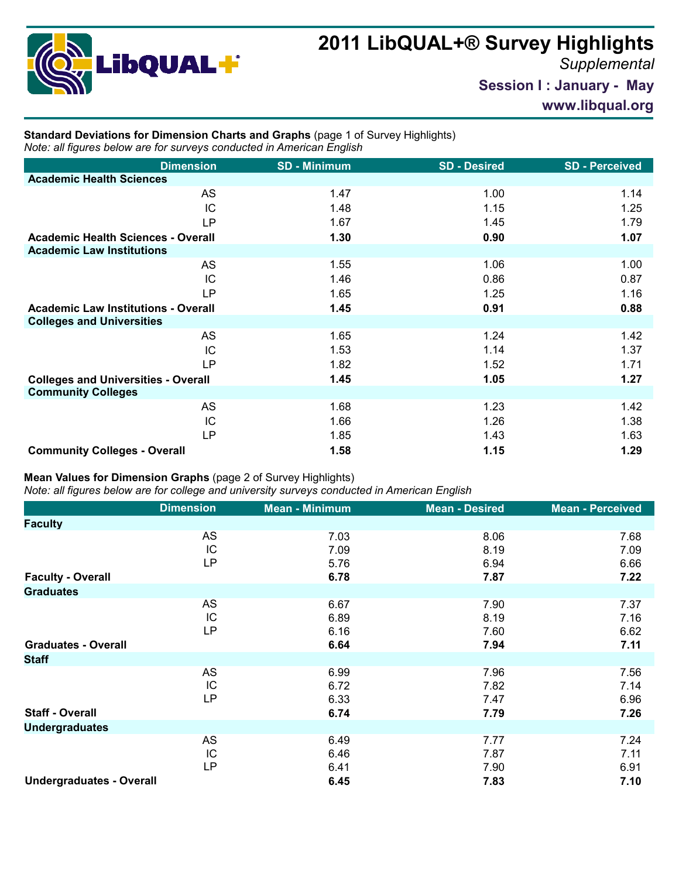

## **2011 LibQUAL+® Survey Highlights**

*Supplemental*

**Session I : January - May**

**www.libqual.org**

## **Standard Deviations for Dimension Charts and Graphs** (page 1 of Survey Highlights) *Note: all figures below are for surveys conducted in American English*

| <b>Dimension</b>                           | <b>SD - Minimum</b> | <b>SD - Desired</b> | <b>SD-Perceived</b> |
|--------------------------------------------|---------------------|---------------------|---------------------|
| <b>Academic Health Sciences</b>            |                     |                     |                     |
| <b>AS</b>                                  | 1.47                | 1.00                | 1.14                |
| IC                                         | 1.48                | 1.15                | 1.25                |
| LP                                         | 1.67                | 1.45                | 1.79                |
| <b>Academic Health Sciences - Overall</b>  | 1.30                | 0.90                | 1.07                |
| <b>Academic Law Institutions</b>           |                     |                     |                     |
| AS                                         | 1.55                | 1.06                | 1.00                |
| IC                                         | 1.46                | 0.86                | 0.87                |
| <b>LP</b>                                  | 1.65                | 1.25                | 1.16                |
| <b>Academic Law Institutions - Overall</b> | 1.45                | 0.91                | 0.88                |
| <b>Colleges and Universities</b>           |                     |                     |                     |
| AS                                         | 1.65                | 1.24                | 1.42                |
| IC                                         | 1.53                | 1.14                | 1.37                |
| LP.                                        | 1.82                | 1.52                | 1.71                |
| <b>Colleges and Universities - Overall</b> | 1.45                | 1.05                | 1.27                |
| <b>Community Colleges</b>                  |                     |                     |                     |
| AS                                         | 1.68                | 1.23                | 1.42                |
| IC                                         | 1.66                | 1.26                | 1.38                |
| <b>LP</b>                                  | 1.85                | 1.43                | 1.63                |
| <b>Community Colleges - Overall</b>        | 1.58                | 1.15                | 1.29                |

## **Mean Values for Dimension Graphs** (page 2 of Survey Highlights)

*Note: all figures below are for college and university surveys conducted in American English*

|                                 | <b>Dimension</b>      | <b>Mean - Minimum</b> | <b>Mean - Desired</b> | <b>Mean - Perceived</b> |
|---------------------------------|-----------------------|-----------------------|-----------------------|-------------------------|
| <b>Faculty</b>                  |                       |                       |                       |                         |
|                                 | AS<br>IC<br><b>LP</b> | 7.03<br>7.09<br>5.76  | 8.06<br>8.19<br>6.94  | 7.68<br>7.09<br>6.66    |
| <b>Faculty - Overall</b>        |                       | 6.78                  | 7.87                  | 7.22                    |
| <b>Graduates</b>                |                       |                       |                       |                         |
|                                 | AS<br>IC<br><b>LP</b> | 6.67<br>6.89<br>6.16  | 7.90<br>8.19<br>7.60  | 7.37<br>7.16<br>6.62    |
| <b>Graduates - Overall</b>      |                       | 6.64                  | 7.94                  | 7.11                    |
| <b>Staff</b>                    |                       |                       |                       |                         |
|                                 | AS<br>IC<br><b>LP</b> | 6.99<br>6.72<br>6.33  | 7.96<br>7.82<br>7.47  | 7.56<br>7.14<br>6.96    |
| <b>Staff - Overall</b>          |                       | 6.74                  | 7.79                  | 7.26                    |
| <b>Undergraduates</b>           |                       |                       |                       |                         |
|                                 | AS<br>IC<br><b>LP</b> | 6.49<br>6.46<br>6.41  | 7.77<br>7.87<br>7.90  | 7.24<br>7.11<br>6.91    |
| <b>Undergraduates - Overall</b> |                       | 6.45                  | 7.83                  | 7.10                    |